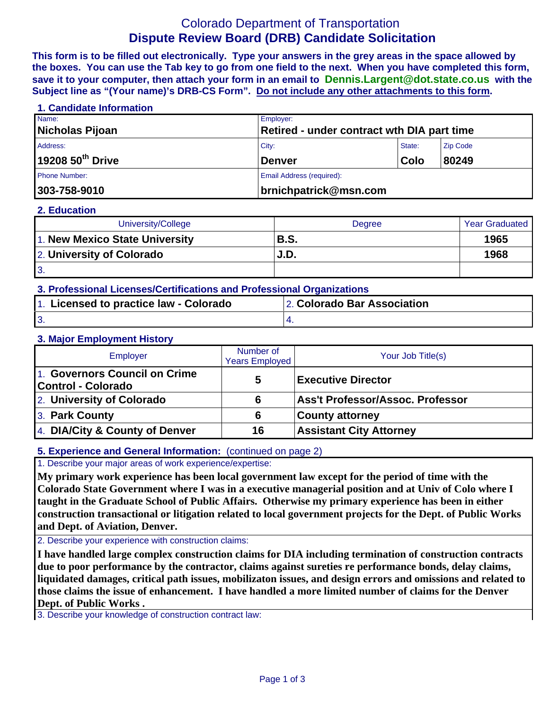# Colorado Department of Transportation **Dispute Review Board (DRB) Candidate Solicitation**

**This form is to be filled out electronically. Type your answers in the grey areas in the space allowed by the boxes. You can use the Tab key to go from one field to the next. When you have completed this form, save it to your computer, then attach your form in an email to Dennis.Largent@dot.state.co.us with the Subject line as "(Your name)'s DRB-CS Form". Do not include any other attachments to this form.**

| 1. Candidate Information     |                           |                                                   |                 |  |  |
|------------------------------|---------------------------|---------------------------------------------------|-----------------|--|--|
| Name:                        | Employer:                 |                                                   |                 |  |  |
| Nicholas Pijoan              |                           | <b>Retired - under contract wth DIA part time</b> |                 |  |  |
| Address:                     | City:                     | State:                                            | <b>Zip Code</b> |  |  |
| 19208 50 <sup>th</sup> Drive | <b>Denver</b>             | Colo                                              | 80249           |  |  |
| Phone Number:                | Email Address (required): |                                                   |                 |  |  |
| 303-758-9010                 |                           | brnichpatrick@msn.com                             |                 |  |  |

#### **2. Education**

| University/College             | Degree      | <b>Year Graduated</b> |
|--------------------------------|-------------|-----------------------|
| 1. New Mexico State University | <b>B.S.</b> | 1965                  |
| 2. University of Colorado      | J.D.        | 1968                  |
| 3.                             |             |                       |

| 3. Professional Licenses/Certifications and Professional Organizations |                             |  |  |
|------------------------------------------------------------------------|-----------------------------|--|--|
| 1. Licensed to practice law - Colorado                                 | 2. Colorado Bar Association |  |  |
| $\overline{3}$                                                         |                             |  |  |

### **3. Major Employment History**

| Employer                                            | Number of<br><b>Years Employed</b> | Your Job Title(s)                |
|-----------------------------------------------------|------------------------------------|----------------------------------|
| 1. Governors Council on Crime<br>Control - Colorado | 5                                  | <b>Executive Director</b>        |
| 2. University of Colorado                           | 6                                  | Ass't Professor/Assoc. Professor |
| 3. Park County                                      | 6                                  | <b>County attorney</b>           |
| 4. DIA/City & County of Denver                      | 16                                 | <b>Assistant City Attorney</b>   |

# **5. Experience and General Information:** (continued on page 2)

1. Describe your major areas of work experience/expertise:

**My primary work experience has been local government law except for the period of time with the Colorado State Government where I was in a executive managerial position and at Univ of Colo where I taught in the Graduate School of Public Affairs. Otherwise my primary experience has been in either construction transactional or litigation related to local government projects for the Dept. of Public Works and Dept. of Aviation, Denver.** 

2. Describe your experience with construction claims:

**I have handled large complex construction claims for DIA including termination of construction contracts due to poor performance by the contractor, claims against sureties re performance bonds, delay claims, liquidated damages, critical path issues, mobilizaton issues, and design errors and omissions and related to those claims the issue of enhancement. I have handled a more limited number of claims for the Denver Dept. of Public Works .**

3. Describe your knowledge of construction contract law: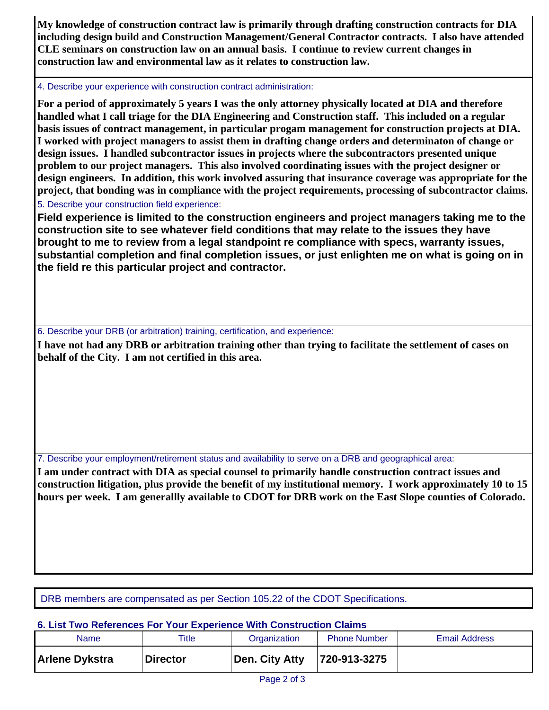**My knowledge of construction contract law is primarily through drafting construction contracts for DIA including design build and Construction Management/General Contractor contracts. I also have attended CLE seminars on construction law on an annual basis. I continue to review current changes in construction law and environmental law as it relates to construction law.**

### 4. Describe your experience with construction contract administration:

**For a period of approximately 5 years I was the only attorney physically located at DIA and therefore handled what I call triage for the DIA Engineering and Construction staff. This included on a regular basis issues of contract management, in particular progam management for construction projects at DIA. I worked with project managers to assist them in drafting change orders and determinaton of change or design issues. I handled subcontractor issues in projects where the subcontractors presented unique problem to our project managers. This also involved coordinating issues with the project designer or design engineers. In addition, this work involved assuring that insurance coverage was appropriate for the project, that bonding was in compliance with the project requirements, processing of subcontractor claims.**  5. Describe your construction field experience:

**Field experience is limited to the construction engineers and project managers taking me to the construction site to see whatever field conditions that may relate to the issues they have brought to me to review from a legal standpoint re compliance with specs, warranty issues, substantial completion and final completion issues, or just enlighten me on what is going on in the field re this particular project and contractor.** 

6. Describe your DRB (or arbitration) training, certification, and experience:

**I have not had any DRB or arbitration training other than trying to facilitate the settlement of cases on behalf of the City. I am not certified in this area.** 

7. Describe your employment/retirement status and availability to serve on a DRB and geographical area:

**I am under contract with DIA as special counsel to primarily handle construction contract issues and construction litigation, plus provide the benefit of my institutional memory. I work approximately 10 to 15 hours per week. I am generallly available to CDOT for DRB work on the East Slope counties of Colorado.**

DRB members are compensated as per Section 105.22 of the CDOT Specifications.

# **6. List Two References For Your Experience With Construction Claims**

| <b>Name</b>           | Title           | Organization   | <b>Phone Number</b> | <b>Email Address</b> |
|-----------------------|-----------------|----------------|---------------------|----------------------|
| <b>Arlene Dykstra</b> | <b>Director</b> | Den. City Atty | 720-913-3275        |                      |